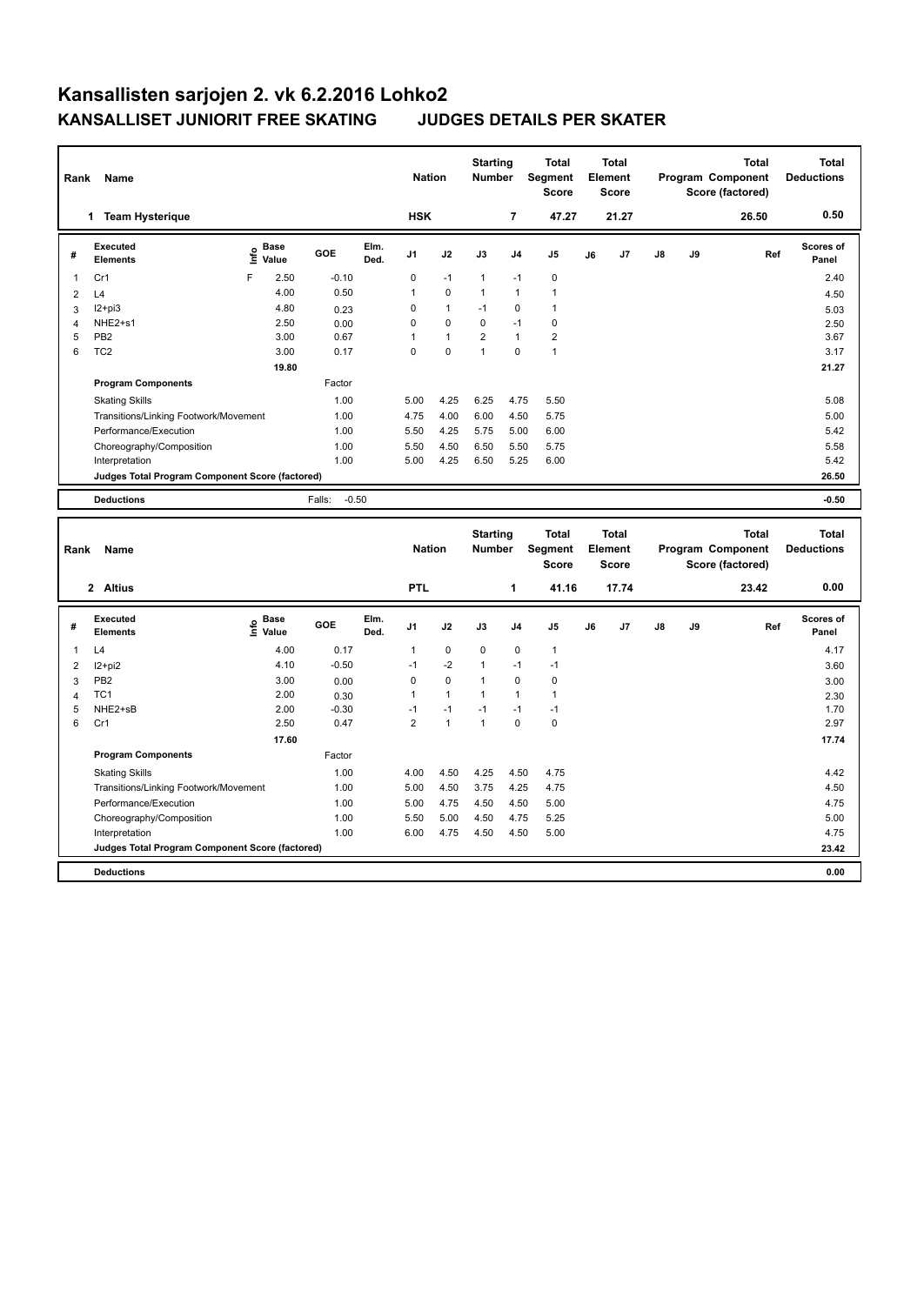|      | Name<br>Rank                                    |                            |                   |              | <b>Nation</b> |              | <b>Starting</b><br><b>Number</b> |                                  | <b>Total</b><br><b>Segment</b><br><b>Score</b> | <b>Total</b><br>Element<br><b>Score</b>                                            |       |                                                       |    | <b>Total</b><br>Program Component<br>Score (factored) | <b>Total</b><br><b>Deductions</b> |
|------|-------------------------------------------------|----------------------------|-------------------|--------------|---------------|--------------|----------------------------------|----------------------------------|------------------------------------------------|------------------------------------------------------------------------------------|-------|-------------------------------------------------------|----|-------------------------------------------------------|-----------------------------------|
|      | 1 Team Hysterique                               |                            |                   |              | <b>HSK</b>    |              |                                  | $\overline{7}$                   | 47.27                                          |                                                                                    | 21.27 |                                                       |    | 26.50                                                 | 0.50                              |
| #    | Executed<br><b>Elements</b>                     | e Base<br>E Value<br>Value | GOE               | Elm.<br>Ded. | J1            | J2           | J3                               | J <sub>4</sub>                   | J <sub>5</sub>                                 | J6                                                                                 | J7    | J8                                                    | J9 | Ref                                                   | Scores of<br>Panel                |
| 1    | Cr1                                             | F<br>2.50                  | $-0.10$           |              | 0             | $-1$         | $\mathbf{1}$                     | $-1$                             | 0                                              |                                                                                    |       |                                                       |    |                                                       | 2.40                              |
| 2    | L4                                              | 4.00                       | 0.50              |              | 1             | $\mathbf 0$  | $\mathbf{1}$                     | $\mathbf{1}$                     | $\mathbf{1}$                                   |                                                                                    |       |                                                       |    |                                                       | 4.50                              |
| 3    | $I2+pi3$                                        | 4.80                       | 0.23              |              | 0             | $\mathbf{1}$ | $-1$                             | $\mathbf 0$                      | $\mathbf{1}$                                   |                                                                                    |       |                                                       |    |                                                       | 5.03                              |
| 4    | NHE2+s1                                         | 2.50                       | 0.00              |              | 0             | $\mathbf 0$  | 0                                | $-1$                             | 0                                              |                                                                                    |       |                                                       |    |                                                       | 2.50                              |
| 5    | PB <sub>2</sub>                                 | 3.00                       | 0.67              |              | 1             | $\mathbf{1}$ | $\overline{2}$                   | $\mathbf{1}$                     | $\overline{2}$                                 |                                                                                    |       |                                                       |    |                                                       | 3.67                              |
| 6    | TC <sub>2</sub>                                 | 3.00<br>19.80              | 0.17              |              | $\Omega$      | $\mathbf 0$  | $\mathbf{1}$                     | $\Omega$                         | $\mathbf{1}$                                   |                                                                                    |       |                                                       |    |                                                       | 3.17                              |
|      |                                                 |                            |                   |              |               |              |                                  |                                  |                                                |                                                                                    |       | 21.27                                                 |    |                                                       |                                   |
|      | <b>Program Components</b>                       |                            | Factor            |              |               |              |                                  |                                  |                                                |                                                                                    |       |                                                       |    |                                                       |                                   |
|      | <b>Skating Skills</b>                           |                            | 1.00              |              | 5.00          | 4.25         | 6.25                             | 4.75                             | 5.50                                           |                                                                                    |       |                                                       |    |                                                       | 5.08                              |
|      | Transitions/Linking Footwork/Movement           |                            | 1.00              |              | 4.75          | 4.00         | 6.00                             | 4.50                             | 5.75                                           |                                                                                    |       |                                                       |    |                                                       | 5.00                              |
|      | Performance/Execution                           |                            | 1.00              |              | 5.50          | 4.25         | 5.75                             | 5.00                             | 6.00                                           |                                                                                    |       |                                                       |    |                                                       | 5.42                              |
|      | Choreography/Composition                        |                            | 1.00              |              | 5.50          | 4.50         | 6.50                             | 5.50                             | 5.75                                           |                                                                                    |       |                                                       |    |                                                       | 5.58                              |
|      | Interpretation                                  |                            | 1.00              |              | 5.00          | 4.25         | 6.50                             | 5.25                             | 6.00                                           |                                                                                    |       |                                                       |    |                                                       | 5.42                              |
|      | Judges Total Program Component Score (factored) |                            |                   |              |               |              |                                  |                                  |                                                |                                                                                    |       |                                                       |    |                                                       | 26.50                             |
|      | <b>Deductions</b>                               |                            | $-0.50$<br>Falls: |              |               |              |                                  |                                  |                                                |                                                                                    |       |                                                       |    |                                                       | $-0.50$                           |
| Rank | Name                                            |                            |                   |              | <b>Nation</b> |              |                                  | <b>Starting</b><br><b>Number</b> |                                                | <b>Total</b><br><b>Total</b><br>Segment<br>Element<br><b>Score</b><br><b>Score</b> |       | <b>Total</b><br>Program Component<br>Score (factored) |    |                                                       | <b>Total</b><br><b>Deductions</b> |
|      | 2 Altius                                        |                            |                   |              | <b>PTL</b>    |              |                                  | 1                                | 41.16                                          |                                                                                    | 17.74 |                                                       |    | 23.42                                                 | 0.00                              |
| #    | <b>Executed</b><br><b>Elements</b>              | e Base<br>E Value<br>Value | <b>GOE</b>        | Elm.<br>Ded. | J1            | J2           | J3                               | J <sub>4</sub>                   | J <sub>5</sub>                                 | J6                                                                                 | J7    | $\mathsf{J}8$                                         | J9 | Ref                                                   | <b>Scores of</b><br>Panel         |
| 1    | L4                                              | 4.00                       | 0.17              |              | 1             | 0            | 0                                | $\mathbf 0$                      | 1                                              |                                                                                    |       |                                                       |    |                                                       | 4.17                              |
| 2    | $12+pi2$                                        | 4.10                       | $-0.50$           |              | $-1$          | $-2$         | 1                                | $-1$                             | $-1$                                           |                                                                                    |       |                                                       |    |                                                       | 3.60                              |

 PB2 3.00 0.00 0 0 1 0 0 3.00 TC1 2.00 0.30 1 1 1 1 1 2.30 5 NHE2+sB 2.00 -0.30 -1 -1 -1 -1 -1<br>5 NHE2+sB 2.50 0.47 2 1 1 0 0 Cr1 2.50 0.47 2 1 1 0 0 2.97

Factor

Skating Skills 4.00 4.50 4.25 4.50 4.75 1.00 4.42

Transitions/Linking Footwork/Movement 1.00 5.00 4.50 3.75 4.25 4.75 4.50 4.50 A50 4.75 4.50 4.75 4.75 4.75 4.75<br>
Performance/Execution 1.00 5.00 4.75 4.50 5.00 4.75 5.25 5.00 4.75 5.25 5.00 1.00 5.50 5.00 4.75 5.25 5.00 4. Performance/Execution 1.00 5.00 4.75 4.50 4.50 5.00 4.75 Choreography/Composition 1.00 5.50 5.00 4.50 4.75 5.25 5.00 Interpretation 1.00 6.00 4.75 4.50 4.50 5.00 4.75

**Deductions 0.00 Judges Total Program Component Score (factored) 23.42**

**Program Components** 

 **17.60 17.74**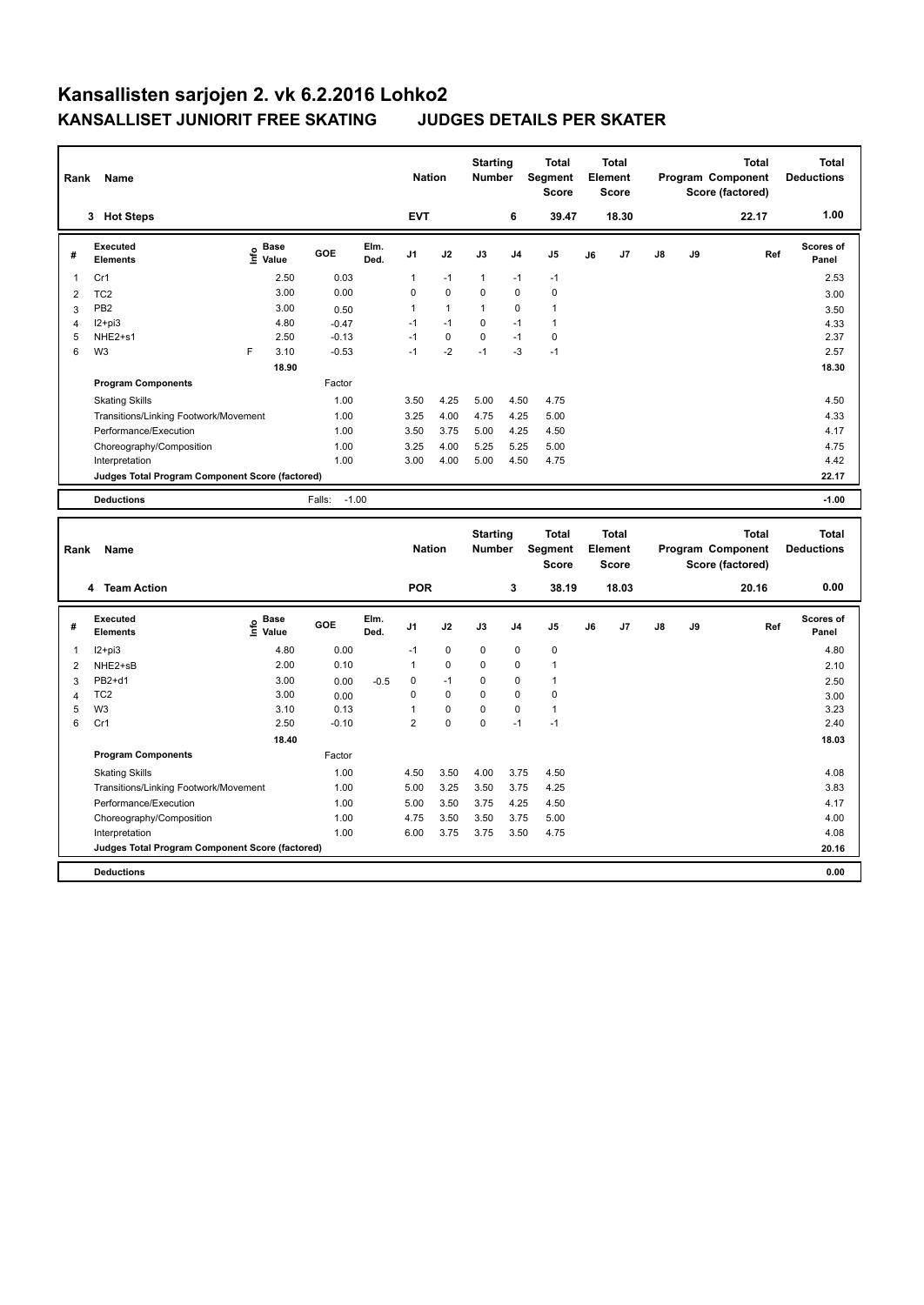| Name<br>Rank   |                                                 |      |                                  |                   | <b>Nation</b> |                | <b>Starting</b><br><b>Number</b> |                                  | <b>Total</b><br>Segment<br><b>Score</b> |                                         | <b>Total</b><br>Element<br><b>Score</b> |       |    | <b>Total</b><br>Program Component<br>Score (factored) | <b>Total</b><br><b>Deductions</b>              |                                   |
|----------------|-------------------------------------------------|------|----------------------------------|-------------------|---------------|----------------|----------------------------------|----------------------------------|-----------------------------------------|-----------------------------------------|-----------------------------------------|-------|----|-------------------------------------------------------|------------------------------------------------|-----------------------------------|
|                | 3 Hot Steps                                     |      |                                  |                   |               | <b>EVT</b>     |                                  |                                  | 6                                       | 39.47                                   |                                         | 18.30 |    |                                                       | 22.17                                          | 1.00                              |
| #              | <b>Executed</b><br><b>Elements</b>              | ١nf٥ | <b>Base</b><br>Value             | <b>GOE</b>        | Elm.<br>Ded.  | J1             | J2                               | J3                               | J <sub>4</sub>                          | J5                                      | J6                                      | J7    | J8 | J9                                                    | Ref                                            | <b>Scores of</b><br>Panel         |
| $\mathbf{1}$   | Cr1                                             |      | 2.50                             | 0.03              |               | $\mathbf{1}$   | $-1$                             | $\mathbf{1}$                     | $-1$                                    | $-1$                                    |                                         |       |    |                                                       |                                                | 2.53                              |
| 2              | TC <sub>2</sub>                                 |      | 3.00                             | 0.00              |               | 0              | $\mathbf 0$                      | $\mathbf 0$                      | $\mathbf 0$                             | $\mathbf 0$                             |                                         |       |    |                                                       |                                                | 3.00                              |
| 3              | PB <sub>2</sub>                                 |      | 3.00                             | 0.50              |               | $\mathbf{1}$   | $\mathbf{1}$                     | $\mathbf{1}$                     | $\mathbf 0$                             | $\mathbf{1}$                            |                                         |       |    |                                                       |                                                | 3.50                              |
| $\overline{4}$ | $12+pi3$                                        |      | 4.80                             | $-0.47$           |               | $-1$           | $-1$                             | $\Omega$                         | $-1$                                    | $\mathbf{1}$                            |                                         |       |    |                                                       |                                                | 4.33                              |
| 5              | NHE2+s1                                         |      | 2.50                             | $-0.13$           |               | $-1$           | $\mathbf 0$                      | $\mathbf 0$                      | $-1$                                    | $\mathbf 0$                             |                                         |       |    |                                                       |                                                | 2.37                              |
| 6              | W <sub>3</sub>                                  | F    | 3.10                             | $-0.53$           |               | $-1$           | $-2$                             | $-1$                             | $-3$                                    | $-1$                                    |                                         |       |    |                                                       |                                                | 2.57                              |
|                |                                                 |      | 18.90                            |                   |               |                |                                  |                                  |                                         |                                         |                                         |       |    |                                                       |                                                | 18.30                             |
|                | <b>Program Components</b>                       |      |                                  | Factor            |               |                |                                  |                                  |                                         |                                         |                                         |       |    |                                                       |                                                |                                   |
|                | <b>Skating Skills</b>                           |      |                                  | 1.00              |               | 3.50           | 4.25                             | 5.00                             | 4.50                                    | 4.75                                    |                                         |       |    |                                                       |                                                | 4.50                              |
|                | Transitions/Linking Footwork/Movement           |      |                                  | 1.00              |               | 3.25           | 4.00                             | 4.75                             | 4.25                                    | 5.00                                    |                                         |       |    |                                                       |                                                | 4.33                              |
|                | Performance/Execution                           |      |                                  | 1.00              |               | 3.50           | 3.75                             | 5.00                             | 4.25                                    | 4.50                                    |                                         |       |    |                                                       |                                                | 4.17                              |
|                | Choreography/Composition                        |      |                                  | 1.00              |               | 3.25           | 4.00                             | 5.25                             | 5.25                                    | 5.00                                    |                                         |       |    |                                                       |                                                | 4.75                              |
|                | Interpretation                                  |      |                                  | 1.00              |               | 3.00           | 4.00                             | 5.00                             | 4.50                                    | 4.75                                    |                                         |       |    |                                                       |                                                | 4.42                              |
|                | Judges Total Program Component Score (factored) |      |                                  |                   |               |                |                                  |                                  |                                         |                                         |                                         |       |    |                                                       |                                                | 22.17                             |
|                |                                                 |      |                                  |                   |               |                |                                  |                                  |                                         |                                         |                                         |       |    |                                                       |                                                |                                   |
|                | <b>Deductions</b>                               |      |                                  | $-1.00$<br>Falls: |               |                |                                  |                                  |                                         |                                         |                                         |       |    |                                                       |                                                | $-1.00$                           |
|                | Name<br>Rank                                    |      |                                  |                   |               | <b>Nation</b>  |                                  | <b>Starting</b><br><b>Number</b> |                                         | <b>Total</b><br>Segment<br><b>Score</b> | <b>Total</b><br>Element<br><b>Score</b> |       |    |                                                       | Total<br>Program Component<br>Score (factored) | <b>Total</b><br><b>Deductions</b> |
|                | 4 Team Action                                   |      |                                  |                   |               | <b>POR</b>     |                                  |                                  | 3                                       | 38.19                                   |                                         | 18.03 |    |                                                       | 20.16                                          | 0.00                              |
| #              | <b>Executed</b><br><b>Elements</b>              |      | <b>Base</b><br>e Base<br>E Value | <b>GOE</b>        | Elm.<br>Ded.  | J1             | J2                               | J3                               | J4                                      | J5                                      | J6                                      | J7    | J8 | J9                                                    | Ref                                            | Scores of<br>Panel                |
| 1              | $12+pi3$                                        |      | 4.80                             | 0.00              |               | $-1$           | $\mathbf 0$                      | 0                                | $\mathbf 0$                             | $\mathbf 0$                             |                                         |       |    |                                                       |                                                | 4.80                              |
| 2              | NHE2+sB                                         |      | 2.00                             | 0.10              |               | 1              | $\mathbf 0$                      | $\mathbf 0$                      | $\mathbf 0$                             | $\mathbf{1}$                            |                                         |       |    |                                                       |                                                | 2.10                              |
| 3              | PB2+d1                                          |      | 3.00                             | 0.00              | $-0.5$        | $\mathbf 0$    | $-1$                             | $\mathbf 0$                      | $\mathbf 0$                             | $\mathbf{1}$                            |                                         |       |    |                                                       |                                                | 2.50                              |
| $\overline{4}$ | TC <sub>2</sub>                                 |      | 3.00                             | 0.00              |               | $\mathbf 0$    | $\mathbf 0$                      | $\Omega$                         | 0                                       | $\mathbf 0$                             |                                         |       |    |                                                       |                                                | 3.00                              |
| 5              | W <sub>3</sub>                                  |      | 3.10                             | 0.13              |               | $\mathbf{1}$   | $\pmb{0}$                        | $\mathbf 0$                      | $\pmb{0}$                               | $\mathbf{1}$                            |                                         |       |    |                                                       |                                                | 3.23                              |
| 6              | Cr1                                             |      | 2.50                             | $-0.10$           |               | $\overline{2}$ | $\mathbf 0$                      | $\mathbf 0$                      | $-1$                                    | $-1$                                    |                                         |       |    |                                                       |                                                | 2.40                              |
|                |                                                 |      | 18.40                            |                   |               |                |                                  |                                  |                                         |                                         |                                         |       |    |                                                       |                                                | 18.03                             |
|                | <b>Program Components</b>                       |      |                                  | Factor            |               |                |                                  |                                  |                                         |                                         |                                         |       |    |                                                       |                                                |                                   |
|                | <b>Skating Skills</b>                           |      |                                  | 1.00              |               | 4.50           | 3.50                             | 4.00                             | 3.75                                    | 4.50                                    |                                         |       |    |                                                       |                                                | 4.08                              |

Transitions/Linking Footwork/Movement 1.00 5.00 3.25 3.50 3.75 4.25 3.83

Performance/Execution 1.00 5.00 3.50 3.75 4.25 4.50 4.17 Choreography/Composition 1.00 4.75 3.50 3.50 3.75 5.00 4.00 Interpretation 1.00 6.00 3.75 3.75 3.50 4.75 4.08 **Judges Total Program Component Score (factored) 20.16**

**Deductions 0.00**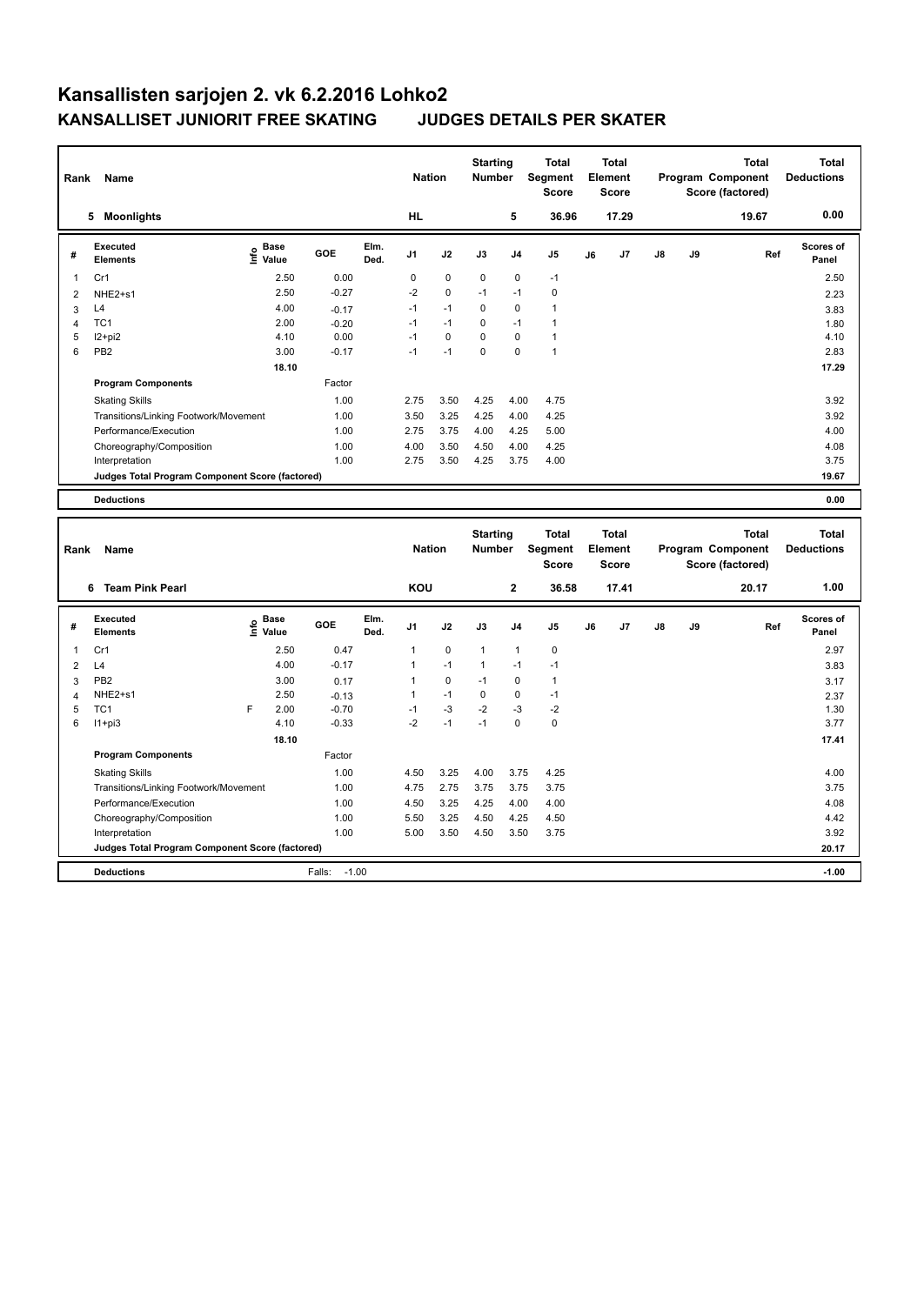|                         | Rank<br>Name                                    |                                             |         |               |                | <b>Nation</b>                    |              | <b>Starting</b><br>Number               | <b>Total</b><br>Segment<br><b>Score</b> | <b>Total</b><br>Element<br><b>Score</b> |                                       |    |              | <b>Total</b><br>Program Component<br>Score (factored) | <b>Total</b><br><b>Deductions</b> |
|-------------------------|-------------------------------------------------|---------------------------------------------|---------|---------------|----------------|----------------------------------|--------------|-----------------------------------------|-----------------------------------------|-----------------------------------------|---------------------------------------|----|--------------|-------------------------------------------------------|-----------------------------------|
|                         | 5 Moonlights                                    |                                             |         |               | <b>HL</b>      |                                  |              | 5                                       | 36.96                                   |                                         | 17.29                                 |    |              | 19.67                                                 | 0.00                              |
| #                       | Executed<br><b>Elements</b>                     | <b>Base</b><br>e <sup>Base</sup><br>⊆ Value | GOE     | Elm.<br>Ded.  | J1             | J2                               | J3           | J <sub>4</sub>                          | J <sub>5</sub>                          | J6                                      | J7                                    | J8 | J9           | Ref                                                   | Scores of<br>Panel                |
| $\mathbf{1}$            | Cr1                                             | 2.50                                        | 0.00    |               | 0              | $\Omega$                         | $\Omega$     | $\mathbf 0$                             | $-1$                                    |                                         |                                       |    |              |                                                       | 2.50                              |
| 2                       | NHE2+s1                                         | 2.50                                        | $-0.27$ |               | $-2$           | $\mathbf 0$                      | $-1$         | $-1$                                    | 0                                       |                                         |                                       |    |              |                                                       | 2.23                              |
| 3                       | L4                                              | 4.00                                        | $-0.17$ |               | $-1$           | $-1$                             | $\mathbf 0$  | $\mathbf 0$                             | $\mathbf{1}$                            |                                         |                                       |    |              |                                                       | 3.83                              |
| 4                       | TC <sub>1</sub>                                 | 2.00                                        | $-0.20$ |               | $-1$           | $-1$                             | $\mathbf 0$  | $-1$                                    | $\mathbf{1}$                            |                                         |                                       |    |              |                                                       | 1.80                              |
| 5                       | I2+pi2                                          | 4.10                                        | 0.00    |               | $-1$           | $\mathbf 0$                      | $\Omega$     | $\mathbf 0$                             | $\mathbf{1}$                            |                                         |                                       |    |              |                                                       | 4.10                              |
| 6                       | PB <sub>2</sub>                                 | 3.00                                        | $-0.17$ |               | $-1$           | $-1$                             | 0            | $\mathbf 0$                             | $\mathbf{1}$                            |                                         |                                       |    |              |                                                       | 2.83                              |
|                         |                                                 | 18.10                                       |         |               |                |                                  |              |                                         |                                         |                                         |                                       |    |              |                                                       | 17.29                             |
|                         | <b>Program Components</b>                       |                                             | Factor  |               |                |                                  |              |                                         |                                         |                                         |                                       |    |              |                                                       |                                   |
|                         | <b>Skating Skills</b>                           |                                             | 1.00    |               | 2.75           | 3.50                             | 4.25         | 4.00                                    | 4.75                                    |                                         |                                       |    |              |                                                       | 3.92                              |
|                         | Transitions/Linking Footwork/Movement           |                                             | 1.00    |               | 3.50           | 3.25                             | 4.25         | 4.00                                    | 4.25                                    |                                         |                                       |    |              |                                                       | 3.92                              |
|                         | Performance/Execution                           |                                             | 1.00    |               | 2.75           | 3.75                             | 4.00         | 4.25                                    | 5.00                                    |                                         |                                       |    |              |                                                       | 4.00                              |
|                         | Choreography/Composition                        |                                             | 1.00    |               | 4.00           | 3.50                             | 4.50         | 4.00                                    | 4.25                                    |                                         |                                       |    |              |                                                       | 4.08                              |
|                         | Interpretation                                  |                                             | 1.00    |               | 2.75           | 3.50                             | 4.25         | 3.75                                    | 4.00                                    |                                         |                                       |    |              |                                                       | 3.75                              |
|                         | Judges Total Program Component Score (factored) |                                             |         |               |                |                                  |              |                                         |                                         |                                         |                                       |    |              |                                                       | 19.67                             |
|                         | <b>Deductions</b>                               |                                             |         |               |                |                                  |              |                                         |                                         |                                         |                                       |    |              |                                                       | 0.00                              |
|                         |                                                 |                                             |         |               |                |                                  |              |                                         |                                         |                                         |                                       |    |              |                                                       |                                   |
|                         | Rank<br>Name                                    |                                             |         | <b>Nation</b> |                | <b>Starting</b><br><b>Number</b> |              | <b>Total</b><br>Segment<br><b>Score</b> |                                         | <b>Total</b><br>Element<br><b>Score</b> | Program Component<br>Score (factored) |    | <b>Total</b> | <b>Total</b><br><b>Deductions</b>                     |                                   |
|                         | 6 Team Pink Pearl                               |                                             |         |               | KOU            |                                  | $\mathbf{2}$ |                                         | 36.58                                   |                                         | 17.41                                 |    |              | 20.17                                                 | 1.00                              |
| #                       | Executed<br><b>Elements</b>                     | <b>Base</b><br>١mfo<br>Value                | GOE     | Elm.<br>Ded.  | J1             | J2                               | J3           | J <sub>4</sub>                          | J <sub>5</sub>                          | J6                                      | J7                                    | J8 | J9           | Ref                                                   | Scores of<br>Panel                |
| $\mathbf{1}$            | Cr1                                             | 2.50                                        | 0.47    |               | $\mathbf{1}$   | $\mathbf 0$                      | 1            | $\mathbf{1}$                            | 0                                       |                                         |                                       |    |              |                                                       | 2.97                              |
| $\overline{\mathbf{c}}$ | L4                                              | 4.00                                        | $-0.17$ |               | 1              | $-1$                             | $\mathbf{1}$ | $-1$                                    | $-1$                                    |                                         |                                       |    |              |                                                       | 3.83                              |
| 3                       | PB <sub>2</sub>                                 | 3.00                                        | 0.17    |               | $\overline{1}$ | $\mathbf 0$                      | $-1$         | $\mathbf 0$                             | $\mathbf{1}$                            |                                         |                                       |    |              |                                                       | 3.17                              |
| 4                       | NHE2+s1                                         | 2.50                                        | $-0.13$ |               | $\mathbf{1}$   | $-1$                             | $\mathbf 0$  | $\mathbf 0$                             | $-1$                                    |                                         |                                       |    |              |                                                       | 2.37                              |
| 5                       | TC <sub>1</sub>                                 | F<br>2.00                                   | $-0.70$ |               | $-1$           | $-3$                             | $-2$         | $-3$                                    | $-2$                                    |                                         |                                       |    |              |                                                       | 1.30                              |
| 6                       | $11+pi3$                                        | 4.10                                        | $-0.33$ |               | $-2$           | $-1$                             | $-1$         | $\mathbf 0$                             | $\pmb{0}$                               |                                         |                                       |    |              |                                                       | 3.77                              |
|                         |                                                 | 18.10                                       |         |               |                |                                  |              |                                         |                                         |                                         |                                       |    |              |                                                       | 17.41                             |
|                         | <b>Program Components</b>                       |                                             | Factor  |               |                |                                  |              |                                         |                                         |                                         |                                       |    |              |                                                       |                                   |
|                         | <b>Skating Skills</b>                           |                                             | 1.00    |               | 4.50           | 3.25                             | 4.00         | 3.75                                    | 4.25                                    |                                         |                                       |    |              |                                                       | 4.00                              |
|                         | Transitions/Linking Footwork/Movement           |                                             | 1.00    |               | 4.75           | 2.75                             | 3.75         | 3.75                                    | 3.75                                    |                                         |                                       |    |              |                                                       | 3.75                              |
|                         | Performance/Execution                           |                                             | 1.00    |               | 4.50           | 3.25                             | 4.25         | 4.00                                    | 4.00                                    |                                         |                                       |    |              |                                                       | 4.08                              |

**Judges Total Program Component Score (factored) 20.17**

Choreography/Composition 1.00 5.50 3.25 4.50 4.25 4.50 4.42 Interpretation 1.00 5.00 3.50 4.50 3.50 3.75 3.92

**Deductions** Falls: -1.00 **-1.00**